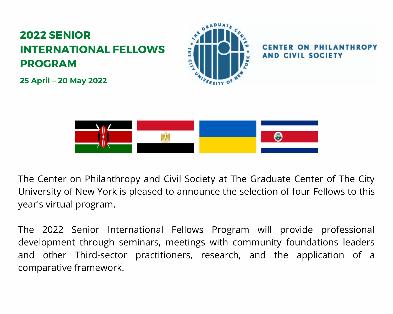#### **2022 SENIOR INTERNATIONAL FELLOWS PROGRAM**



**THROPY AND CIVIL SOCIETY** 

**25 April – 20 May 2022**



The Center on Philanthropy and Civil Society at The Graduate Center of The City University of New York is pleased to announce the selection of four Fellows to this year's virtual program.

The 2022 Senior International Fellows Program will provide professional development through seminars, meetings with community foundations leaders and other Third-sector practitioners, research, and the application of a comparative framework.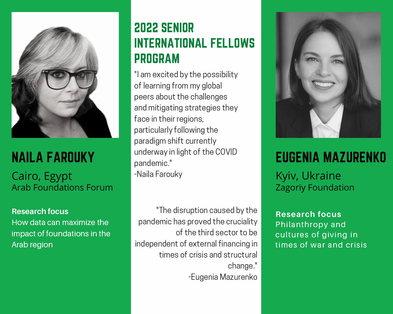

## NAILA FAROUKY

Cairo, Egypt Arab [Foundations](http://www.ffcr.ro/) Forum

**Research focus**

How data can maximize the impact of foundations in the Arab region

### 2022 SENIOR INTERNATIONAL FELLOWS PROGRAM

"I am excited by the possibility of learning from my global peers about the challenges and mitigating strategies they face in their regions, particularly following the paradigm shift currently underway in light of the COVID pandemic." -Naila Farouky

"The disruption caused by the pandemic has proved the cruciality of the third sector to be independent of external financing in times of crisis and structural change." -Eugenia Mazurenko



## EUGENIA MAZURENKO

Kyiv, Ukraine Zagoriy [Foundation](http://www.idis.org.br/)

**Research focus** Philanthropy and cultures of giving in times of war and crisis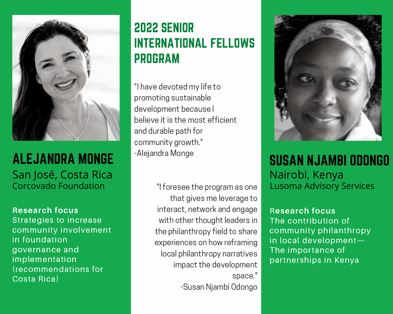

#### ALEJANDRA MONGE San José, Costa Rica Corcovado [Foundation](https://comunalia.org.mx/)

#### **Research focus**

Strategies to increase community involvement in foundation governance and implementation (recommendations for Costa Rica)

### 2022 SENIOR INTERNATIONAL FELLOWS PROGRAM

and durable path for "I have devoted my life to promoting sustainable development because I believe it is the most efficient community growth." -Alejandra Monge

> "I foresee the program as one that gives me leverage to interact, network and engage with other thought leaders in the philanthropy field to share experiences on how reframing local philanthropy narratives impact the development space." -Susan Njambi Odongo



SUSAN NJAMBI ODONGO Nairobi, Kenya Lusoma [Advisory](http://www.lyfordcayfoundations.org/) Services

R**esearch focus** The contribution of community philanthropy in local development— The importance of partnerships in Kenya